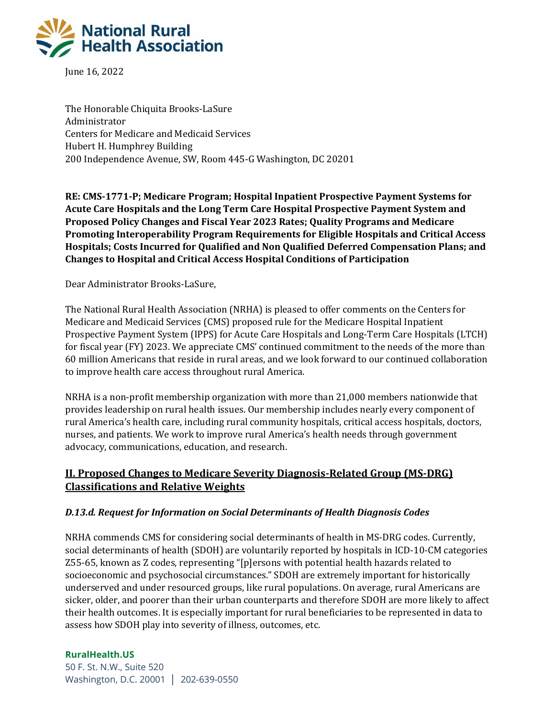

June 16, 2022

The Honorable Chiquita Brooks-LaSure Administrator Centers for Medicare and Medicaid Services Hubert H. Humphrey Building 200 Independence Avenue, SW, Room 445-G Washington, DC 20201

**RE: CMS-1771-P; Medicare Program; Hospital Inpatient Prospective Payment Systems for Acute Care Hospitals and the Long Term Care Hospital Prospective Payment System and Proposed Policy Changes and Fiscal Year 2023 Rates; Quality Programs and Medicare Promoting Interoperability Program Requirements for Eligible Hospitals and Critical Access Hospitals; Costs Incurred for Qualified and Non Qualified Deferred Compensation Plans; and Changes to Hospital and Critical Access Hospital Conditions of Participation**

Dear Administrator Brooks-LaSure,

The National Rural Health Association (NRHA) is pleased to offer comments on the Centers for Medicare and Medicaid Services (CMS) proposed rule for the Medicare Hospital Inpatient Prospective Payment System (IPPS) for Acute Care Hospitals and Long-Term Care Hospitals (LTCH) for fiscal year (FY) 2023. We appreciate CMS' continued commitment to the needs of the more than 60 million Americans that reside in rural areas, and we look forward to our continued collaboration to improve health care access throughout rural America.

NRHA is a non-profit membership organization with more than 21,000 members nationwide that provides leadership on rural health issues. Our membership includes nearly every component of rural America's health care, including rural community hospitals, critical access hospitals, doctors, nurses, and patients. We work to improve rural America's health needs through government advocacy, communications, education, and research.

## **II. Proposed Changes to Medicare Severity Diagnosis-Related Group (MS-DRG) Classifications and Relative Weights**

#### *D.13.d. Request for Information on Social Determinants of Health Diagnosis Codes*

NRHA commends CMS for considering social determinants of health in MS-DRG codes. Currently, social determinants of health (SDOH) are voluntarily reported by hospitals in ICD-10-CM categories Z55-65, known as Z codes, representing "[p]ersons with potential health hazards related to socioeconomic and psychosocial circumstances." SDOH are extremely important for historically underserved and under resourced groups, like rural populations. On average, rural Americans are sicker, older, and poorer than their urban counterparts and therefore SDOH are more likely to affect their health outcomes. It is especially important for rural beneficiaries to be represented in data to assess how SDOH play into severity of illness, outcomes, etc.

#### **RuralHealth.US**

50 F. St. N.W., Suite 520 Washington, D.C. 20001 │ 202-639-0550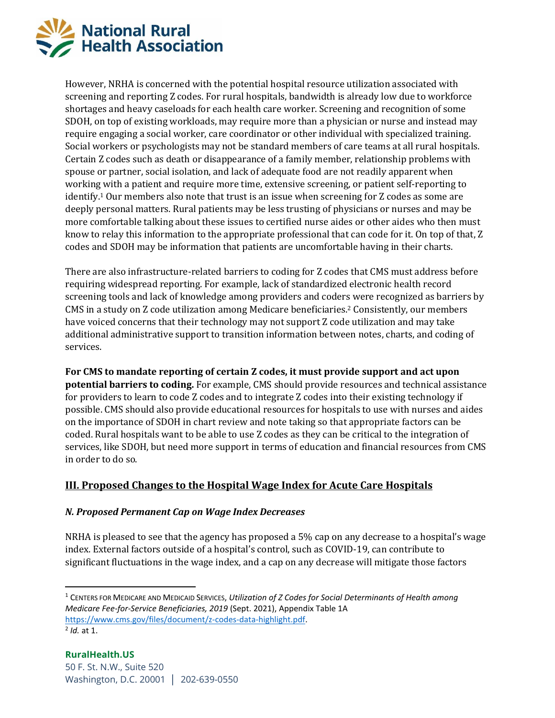

However, NRHA is concerned with the potential hospital resource utilization associated with screening and reporting Z codes. For rural hospitals, bandwidth is already low due to workforce shortages and heavy caseloads for each health care worker. Screening and recognition of some SDOH, on top of existing workloads, may require more than a physician or nurse and instead may require engaging a social worker, care coordinator or other individual with specialized training. Social workers or psychologists may not be standard members of care teams at all rural hospitals. Certain Z codes such as death or disappearance of a family member, relationship problems with spouse or partner, social isolation, and lack of adequate food are not readily apparent when working with a patient and require more time, extensive screening, or patient self-reporting to identify.<sup>1</sup> Our members also note that trust is an issue when screening for Z codes as some are deeply personal matters. Rural patients may be less trusting of physicians or nurses and may be more comfortable talking about these issues to certified nurse aides or other aides who then must know to relay this information to the appropriate professional that can code for it. On top of that, Z codes and SDOH may be information that patients are uncomfortable having in their charts.

There are also infrastructure-related barriers to coding for Z codes that CMS must address before requiring widespread reporting. For example, lack of standardized electronic health record screening tools and lack of knowledge among providers and coders were recognized as barriers by CMS in a study on Z code utilization among Medicare beneficiaries.<sup>2</sup> Consistently, our members have voiced concerns that their technology may not support Z code utilization and may take additional administrative support to transition information between notes, charts, and coding of services.

**For CMS to mandate reporting of certain Z codes, it must provide support and act upon potential barriers to coding.** For example, CMS should provide resources and technical assistance for providers to learn to code Z codes and to integrate Z codes into their existing technology if possible. CMS should also provide educational resources for hospitals to use with nurses and aides on the importance of SDOH in chart review and note taking so that appropriate factors can be coded. Rural hospitals want to be able to use Z codes as they can be critical to the integration of services, like SDOH, but need more support in terms of education and financial resources from CMS in order to do so.

## **III. Proposed Changes to the Hospital Wage Index for Acute Care Hospitals**

#### *N. Proposed Permanent Cap on Wage Index Decreases*

NRHA is pleased to see that the agency has proposed a 5% cap on any decrease to a hospital's wage index. External factors outside of a hospital's control, such as COVID-19, can contribute to significant fluctuations in the wage index, and a cap on any decrease will mitigate those factors

<sup>1</sup> CENTERS FOR MEDICARE AND MEDICAID SERVICES, *Utilization of Z Codes for Social Determinants of Health among Medicare Fee-for-Service Beneficiaries, 2019* (Sept. 2021), Appendix Table 1A [https://www.cms.gov/files/document/z-codes-data-highlight.pdf.](https://www.cms.gov/files/document/z-codes-data-highlight.pdf) 2 *Id.* at 1.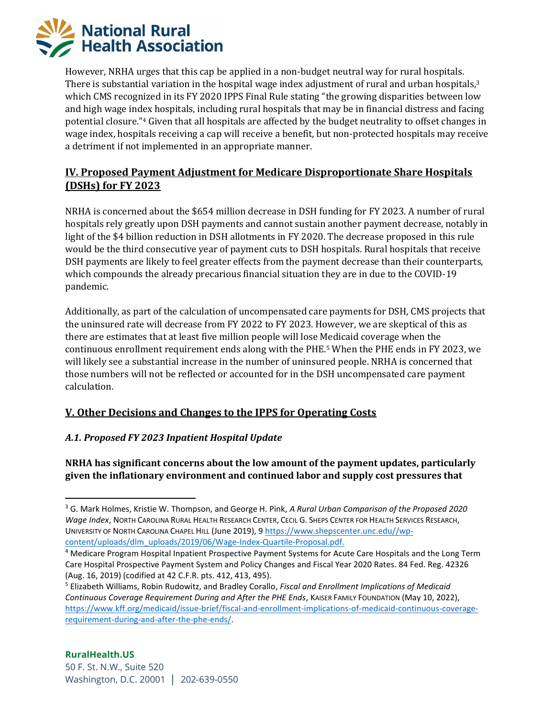

However, NRHA urges that this cap be applied in a non-budget neutral way for rural hospitals. There is substantial variation in the hospital wage index adjustment of rural and urban hospitals,<sup>3</sup> which CMS recognized in its FY 2020 IPPS Final Rule stating "the growing disparities between low and high wage index hospitals, including rural hospitals that may be in financial distress and facing potential closure."<sup>4</sup> Given that all hospitals are affected by the budget neutrality to offset changes in wage index, hospitals receiving a cap will receive a benefit, but non-protected hospitals may receive a detriment if not implemented in an appropriate manner.

# **IV. Proposed Payment Adjustment for Medicare Disproportionate Share Hospitals (DSHs) for FY 2023**

NRHA is concerned about the \$654 million decrease in DSH funding for FY 2023. A number of rural hospitals rely greatly upon DSH payments and cannot sustain another payment decrease, notably in light of the \$4 billion reduction in DSH allotments in FY 2020. The decrease proposed in this rule would be the third consecutive year of payment cuts to DSH hospitals. Rural hospitals that receive DSH payments are likely to feel greater effects from the payment decrease than their counterparts, which compounds the already precarious financial situation they are in due to the COVID-19 pandemic.

Additionally, as part of the calculation of uncompensated care payments for DSH, CMS projects that the uninsured rate will decrease from FY 2022 to FY 2023. However, we are skeptical of this as there are estimates that at least five million people will lose Medicaid coverage when the continuous enrollment requirement ends along with the PHE.<sup>5</sup> When the PHE ends in FY 2023, we will likely see a substantial increase in the number of uninsured people. NRHA is concerned that those numbers will not be reflected or accounted for in the DSH uncompensated care payment calculation.

## **V. Other Decisions and Changes to the IPPS for Operating Costs**

## *A.1. Proposed FY 2023 Inpatient Hospital Update*

**NRHA has significant concerns about the low amount of the payment updates, particularly given the inflationary environment and continued labor and supply cost pressures that** 

<sup>3</sup> G. Mark Holmes, Kristie W. Thompson, and George H. Pink, *A Rural Urban Comparison of the Proposed 2020 Wage Index*, NORTH CAROLINA RURAL HEALTH RESEARCH CENTER, CECIL G. SHEPS CENTER FOR HEALTH SERVICES RESEARCH, UNIVERSITY OF NORTH CAROLINA CHAPEL HILL (June 2019), 9 [https://www.shepscenter.unc.edu//wp](https://www.shepscenter.unc.edu/wp-content/uploads/dlm_uploads/2019/06/Wage-Index-Quartile-Proposal.pdf)[content/uploads/dlm\\_uploads/2019/06/Wage-Index-Quartile-Proposal.pdf.](https://www.shepscenter.unc.edu/wp-content/uploads/dlm_uploads/2019/06/Wage-Index-Quartile-Proposal.pdf)

<sup>4</sup> Medicare Program Hospital Inpatient Prospective Payment Systems for Acute Care Hospitals and the Long Term Care Hospital Prospective Payment System and Policy Changes and Fiscal Year 2020 Rates. 84 Fed. Reg. 42326 (Aug. 16, 2019) (codified at 42 C.F.R. pts. 412, 413, 495).

<sup>5</sup> Elizabeth Williams, Robin Rudowitz, and Bradley Corallo, *Fiscal and Enrollment Implications of Medicaid Continuous Coverage Requirement During and After the PHE Ends*, KAISER FAMILY FOUNDATION (May 10, 2022), [https://www.kff.org/medicaid/issue-brief/fiscal-and-enrollment-implications-of-medicaid-continuous-coverage](https://www.kff.org/medicaid/issue-brief/fiscal-and-enrollment-implications-of-medicaid-continuous-coverage-requirement-during-and-after-the-phe-ends/)[requirement-during-and-after-the-phe-ends/.](https://www.kff.org/medicaid/issue-brief/fiscal-and-enrollment-implications-of-medicaid-continuous-coverage-requirement-during-and-after-the-phe-ends/)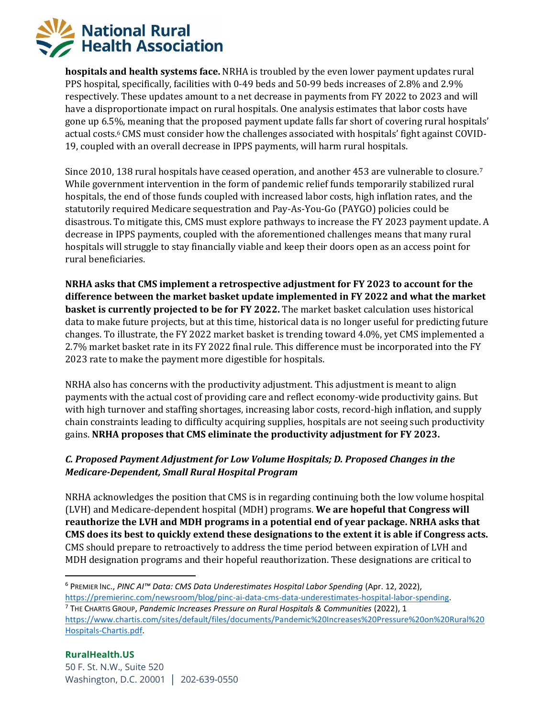

**hospitals and health systems face.** NRHA is troubled by the even lower payment updates rural PPS hospital, specifically, facilities with 0-49 beds and 50-99 beds increases of 2.8% and 2.9% respectively. These updates amount to a net decrease in payments from FY 2022 to 2023 and will have a disproportionate impact on rural hospitals. One analysis estimates that labor costs have gone up 6.5%, meaning that the proposed payment update falls far short of covering rural hospitals' actual costs.<sup>6</sup> CMS must consider how the challenges associated with hospitals' fight against COVID-19, coupled with an overall decrease in IPPS payments, will harm rural hospitals.

Since 2010, 138 rural hospitals have ceased operation, and another 453 are vulnerable to closure.<sup>7</sup> While government intervention in the form of pandemic relief funds temporarily stabilized rural hospitals, the end of those funds coupled with increased labor costs, high inflation rates, and the statutorily required Medicare sequestration and Pay-As-You-Go (PAYGO) policies could be disastrous. To mitigate this, CMS must explore pathways to increase the FY 2023 payment update. A decrease in IPPS payments, coupled with the aforementioned challenges means that many rural hospitals will struggle to stay financially viable and keep their doors open as an access point for rural beneficiaries.

**NRHA asks that CMS implement a retrospective adjustment for FY 2023 to account for the difference between the market basket update implemented in FY 2022 and what the market basket is currently projected to be for FY 2022.** The market basket calculation uses historical data to make future projects, but at this time, historical data is no longer useful for predicting future changes. To illustrate, the FY 2022 market basket is trending toward 4.0%, yet CMS implemented a 2.7% market basket rate in its FY 2022 final rule. This difference must be incorporated into the FY 2023 rate to make the payment more digestible for hospitals.

NRHA also has concerns with the productivity adjustment. This adjustment is meant to align payments with the actual cost of providing care and reflect economy-wide productivity gains. But with high turnover and staffing shortages, increasing labor costs, record-high inflation, and supply chain constraints leading to difficulty acquiring supplies, hospitals are not seeing such productivity gains. **NRHA proposes that CMS eliminate the productivity adjustment for FY 2023.**

### *C. Proposed Payment Adjustment for Low Volume Hospitals; D. Proposed Changes in the Medicare-Dependent, Small Rural Hospital Program*

NRHA acknowledges the position that CMS is in regarding continuing both the low volume hospital (LVH) and Medicare-dependent hospital (MDH) programs. **We are hopeful that Congress will reauthorize the LVH and MDH programs in a potential end of year package. NRHA asks that CMS does its best to quickly extend these designations to the extent it is able if Congress acts.** CMS should prepare to retroactively to address the time period between expiration of LVH and MDH designation programs and their hopeful reauthorization. These designations are critical to

<sup>6</sup> PREMIER INC., *PINC AI™ Data: CMS Data Underestimates Hospital Labor Spending* (Apr. 12, 2022),

[https://premierinc.com/newsroom/blog/pinc-ai-data-cms-data-underestimates-hospital-labor-spending.](https://premierinc.com/newsroom/blog/pinc-ai-data-cms-data-underestimates-hospital-labor-spending)

<sup>7</sup> THE CHARTIS GROUP, *Pandemic Increases Pressure on Rural Hospitals & Communities* (2022), 1

[https://www.chartis.com/sites/default/files/documents/Pandemic%20Increases%20Pressure%20on%20Rural%20](https://www.chartis.com/sites/default/files/documents/Pandemic%20Increases%20Pressure%20on%20Rural%20Hospitals-Chartis.pdf) [Hospitals-Chartis.pdf.](https://www.chartis.com/sites/default/files/documents/Pandemic%20Increases%20Pressure%20on%20Rural%20Hospitals-Chartis.pdf)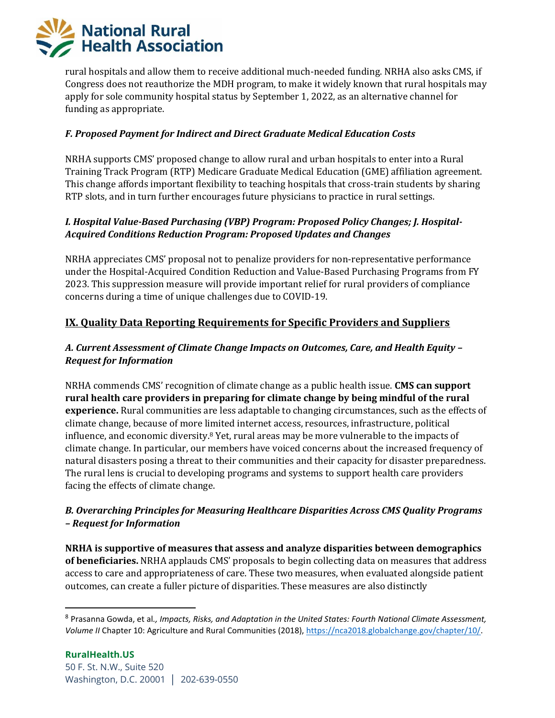

rural hospitals and allow them to receive additional much-needed funding. NRHA also asks CMS, if Congress does not reauthorize the MDH program, to make it widely known that rural hospitals may apply for sole community hospital status by September 1, 2022, as an alternative channel for funding as appropriate.

#### *F. Proposed Payment for Indirect and Direct Graduate Medical Education Costs*

NRHA supports CMS' proposed change to allow rural and urban hospitals to enter into a Rural Training Track Program (RTP) Medicare Graduate Medical Education (GME) affiliation agreement. This change affords important flexibility to teaching hospitals that cross-train students by sharing RTP slots, and in turn further encourages future physicians to practice in rural settings.

### *I. Hospital Value-Based Purchasing (VBP) Program: Proposed Policy Changes; J. Hospital-Acquired Conditions Reduction Program: Proposed Updates and Changes*

NRHA appreciates CMS' proposal not to penalize providers for non-representative performance under the Hospital-Acquired Condition Reduction and Value-Based Purchasing Programs from FY 2023. This suppression measure will provide important relief for rural providers of compliance concerns during a time of unique challenges due to COVID-19.

## **IX. Quality Data Reporting Requirements for Specific Providers and Suppliers**

### *A. Current Assessment of Climate Change Impacts on Outcomes, Care, and Health Equity – Request for Information*

NRHA commends CMS' recognition of climate change as a public health issue. **CMS can support rural health care providers in preparing for climate change by being mindful of the rural experience.** Rural communities are less adaptable to changing circumstances, such as the effects of climate change, because of more limited internet access, resources, infrastructure, political influence, and economic diversity. <sup>8</sup> Yet, rural areas may be more vulnerable to the impacts of climate change. In particular, our members have voiced concerns about the increased frequency of natural disasters posing a threat to their communities and their capacity for disaster preparedness. The rural lens is crucial to developing programs and systems to support health care providers facing the effects of climate change.

### *B. Overarching Principles for Measuring Healthcare Disparities Across CMS Quality Programs – Request for Information*

**NRHA is supportive of measures that assess and analyze disparities between demographics of beneficiaries.** NRHA applauds CMS' proposals to begin collecting data on measures that address access to care and appropriateness of care. These two measures, when evaluated alongside patient outcomes, can create a fuller picture of disparities. These measures are also distinctly

<sup>8</sup> Prasanna Gowda, et al*., Impacts, Risks, and Adaptation in the United States: Fourth National Climate Assessment, Volume II* Chapter 10: Agriculture and Rural Communities (2018), [https://nca2018.globalchange.gov/chapter/10/.](https://nca2018.globalchange.gov/chapter/10/)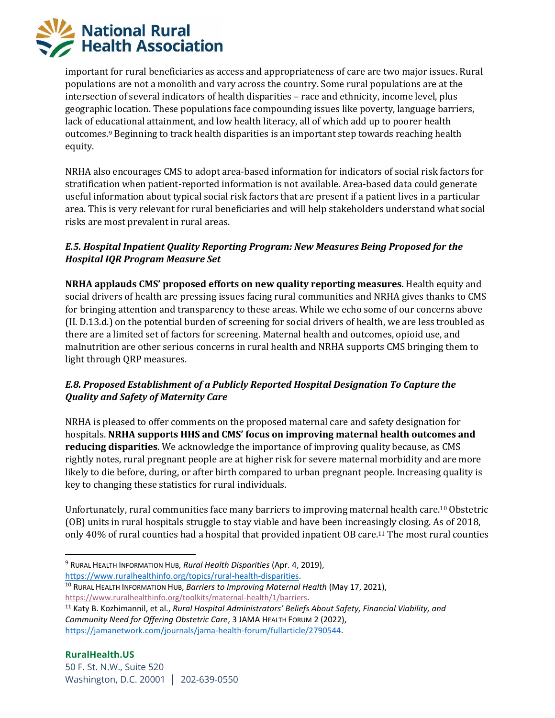

important for rural beneficiaries as access and appropriateness of care are two major issues. Rural populations are not a monolith and vary across the country. Some rural populations are at the intersection of several indicators of health disparities – race and ethnicity, income level, plus geographic location. These populations face compounding issues like poverty, language barriers, lack of educational attainment, and low health literacy, all of which add up to poorer health outcomes.<sup>9</sup> Beginning to track health disparities is an important step towards reaching health equity.

NRHA also encourages CMS to adopt area-based information for indicators of social risk factors for stratification when patient-reported information is not available. Area-based data could generate useful information about typical social risk factors that are present if a patient lives in a particular area. This is very relevant for rural beneficiaries and will help stakeholders understand what social risks are most prevalent in rural areas.

### *E.5. Hospital Inpatient Quality Reporting Program: New Measures Being Proposed for the Hospital IQR Program Measure Set*

**NRHA applauds CMS' proposed efforts on new quality reporting measures.** Health equity and social drivers of health are pressing issues facing rural communities and NRHA gives thanks to CMS for bringing attention and transparency to these areas. While we echo some of our concerns above (II. D.13.d.) on the potential burden of screening for social drivers of health, we are less troubled as there are a limited set of factors for screening. Maternal health and outcomes, opioid use, and malnutrition are other serious concerns in rural health and NRHA supports CMS bringing them to light through QRP measures.

# *E.8. Proposed Establishment of a Publicly Reported Hospital Designation To Capture the Quality and Safety of Maternity Care*

NRHA is pleased to offer comments on the proposed maternal care and safety designation for hospitals. **NRHA supports HHS and CMS' focus on improving maternal health outcomes and reducing disparities**. We acknowledge the importance of improving quality because, as CMS rightly notes, rural pregnant people are at higher risk for severe maternal morbidity and are more likely to die before, during, or after birth compared to urban pregnant people. Increasing quality is key to changing these statistics for rural individuals.

Unfortunately, rural communities face many barriers to improving maternal health care.<sup>10</sup> Obstetric (OB) units in rural hospitals struggle to stay viable and have been increasingly closing. As of 2018, only 40% of rural counties had a hospital that provided inpatient OB care.<sup>11</sup> The most rural counties

- <sup>9</sup> RURAL HEALTH INFORMATION HUB, *Rural Health Disparities* (Apr. 4, 2019), [https://www.ruralhealthinfo.org/topics/rural-health-disparities.](https://www.ruralhealthinfo.org/topics/rural-health-disparities)
- <sup>10</sup> RURAL HEALTH INFORMATION HUB, *Barriers to Improving Maternal Health* (May 17, 2021), [https://www.ruralhealthinfo.org/toolkits/maternal-health/1/barriers.](https://www.ruralhealthinfo.org/toolkits/maternal-health/1/barriers)

<sup>11</sup> Katy B. Kozhimannil, et al., *Rural Hospital Administrators' Beliefs About Safety, Financial Viability, and Community Need for Offering Obstetric Care*, 3 JAMA HEALTH FORUM 2 (2022), [https://jamanetwork.com/journals/jama-health-forum/fullarticle/2790544.](https://jamanetwork.com/journals/jama-health-forum/fullarticle/2790544)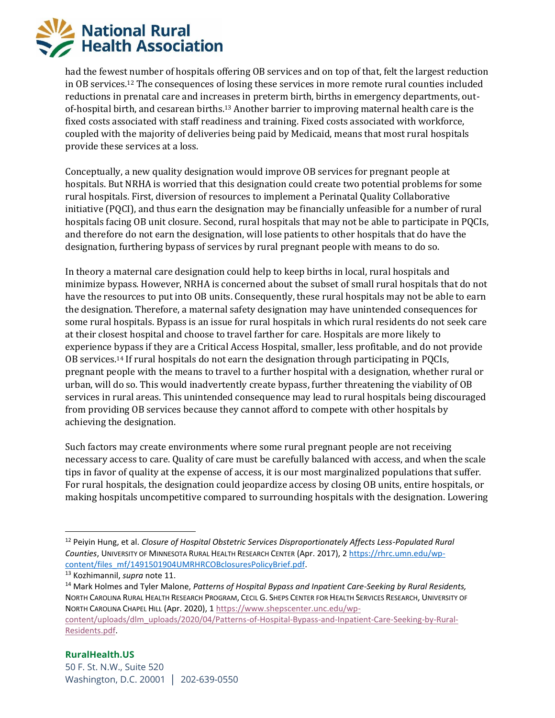

had the fewest number of hospitals offering OB services and on top of that, felt the largest reduction in OB services.<sup>12</sup> The consequences of losing these services in more remote rural counties included reductions in prenatal care and increases in preterm birth, births in emergency departments, outof-hospital birth, and cesarean births.<sup>13</sup> Another barrier to improving maternal health care is the fixed costs associated with staff readiness and training. Fixed costs associated with workforce, coupled with the majority of deliveries being paid by Medicaid, means that most rural hospitals provide these services at a loss.

Conceptually, a new quality designation would improve OB services for pregnant people at hospitals. But NRHA is worried that this designation could create two potential problems for some rural hospitals. First, diversion of resources to implement a Perinatal Quality Collaborative initiative (PQCI), and thus earn the designation may be financially unfeasible for a number of rural hospitals facing OB unit closure. Second, rural hospitals that may not be able to participate in PQCIs, and therefore do not earn the designation, will lose patients to other hospitals that do have the designation, furthering bypass of services by rural pregnant people with means to do so.

In theory a maternal care designation could help to keep births in local, rural hospitals and minimize bypass. However, NRHA is concerned about the subset of small rural hospitals that do not have the resources to put into OB units. Consequently, these rural hospitals may not be able to earn the designation. Therefore, a maternal safety designation may have unintended consequences for some rural hospitals. Bypass is an issue for rural hospitals in which rural residents do not seek care at their closest hospital and choose to travel farther for care. Hospitals are more likely to experience bypass if they are a Critical Access Hospital, smaller, less profitable, and do not provide OB services.<sup>14</sup> If rural hospitals do not earn the designation through participating in PQCIs, pregnant people with the means to travel to a further hospital with a designation, whether rural or urban, will do so. This would inadvertently create bypass, further threatening the viability of OB services in rural areas. This unintended consequence may lead to rural hospitals being discouraged from providing OB services because they cannot afford to compete with other hospitals by achieving the designation.

Such factors may create environments where some rural pregnant people are not receiving necessary access to care. Quality of care must be carefully balanced with access, and when the scale tips in favor of quality at the expense of access, it is our most marginalized populations that suffer. For rural hospitals, the designation could jeopardize access by closing OB units, entire hospitals, or making hospitals uncompetitive compared to surrounding hospitals with the designation. Lowering

[content/uploads/dlm\\_uploads/2020/04/Patterns-of-Hospital-Bypass-and-Inpatient-Care-Seeking-by-Rural-](https://www.shepscenter.unc.edu/wp-content/uploads/dlm_uploads/2020/04/Patterns-of-Hospital-Bypass-and-Inpatient-Care-Seeking-by-Rural-Residents.pdf)[Residents.pdf.](https://www.shepscenter.unc.edu/wp-content/uploads/dlm_uploads/2020/04/Patterns-of-Hospital-Bypass-and-Inpatient-Care-Seeking-by-Rural-Residents.pdf)

<sup>12</sup> Peiyin Hung, et al. *Closure of Hospital Obstetric Services Disproportionately Affects Less-Populated Rural Counties*, UNIVERSITY OF MINNESOTA RURAL HEALTH RESEARCH CENTER (Apr. 2017), 2 [https://rhrc.umn.edu/wp](https://rhrc.umn.edu/wp-content/files_mf/1491501904UMRHRCOBclosuresPolicyBrief.pdf)[content/files\\_mf/1491501904UMRHRCOBclosuresPolicyBrief.pdf.](https://rhrc.umn.edu/wp-content/files_mf/1491501904UMRHRCOBclosuresPolicyBrief.pdf)

<sup>13</sup> Kozhimannil, *supra* note 11.

<sup>14</sup> Mark Holmes and Tyler Malone, *Patterns of Hospital Bypass and Inpatient Care-Seeking by Rural Residents,*  NORTH CAROLINA RURAL HEALTH RESEARCH PROGRAM, CECIL G. SHEPS CENTER FOR HEALTH SERVICES RESEARCH, UNIVERSITY OF NORTH CAROLINA CHAPEL HILL (Apr. 2020), [1 https://www.shepscenter.unc.edu/wp-](https://www.shepscenter.unc.edu/wp-content/uploads/dlm_uploads/2020/04/Patterns-of-Hospital-Bypass-and-Inpatient-Care-Seeking-by-Rural-Residents.pdf)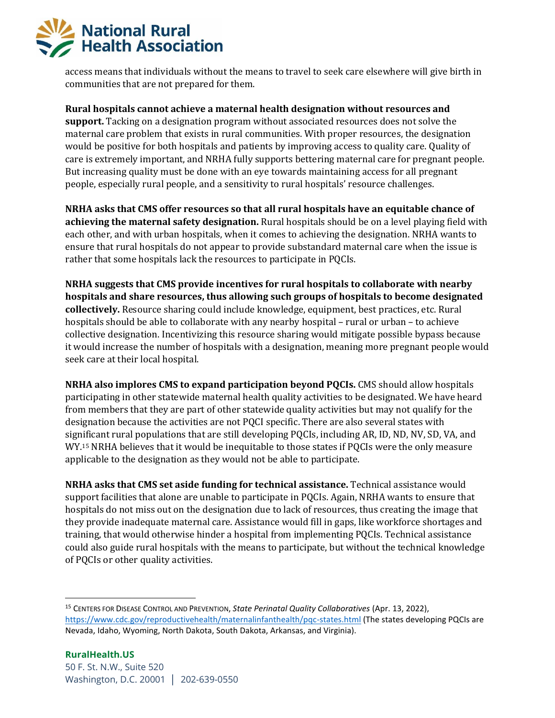

access means that individuals without the means to travel to seek care elsewhere will give birth in communities that are not prepared for them.

**Rural hospitals cannot achieve a maternal health designation without resources and support.** Tacking on a designation program without associated resources does not solve the maternal care problem that exists in rural communities. With proper resources, the designation would be positive for both hospitals and patients by improving access to quality care. Quality of care is extremely important, and NRHA fully supports bettering maternal care for pregnant people. But increasing quality must be done with an eye towards maintaining access for all pregnant people, especially rural people, and a sensitivity to rural hospitals' resource challenges.

**NRHA asks that CMS offer resources so that all rural hospitals have an equitable chance of achieving the maternal safety designation.** Rural hospitals should be on a level playing field with each other, and with urban hospitals, when it comes to achieving the designation. NRHA wants to ensure that rural hospitals do not appear to provide substandard maternal care when the issue is rather that some hospitals lack the resources to participate in PQCIs.

**NRHA suggests that CMS provide incentives for rural hospitals to collaborate with nearby hospitals and share resources, thus allowing such groups of hospitals to become designated collectively.** Resource sharing could include knowledge, equipment, best practices, etc. Rural hospitals should be able to collaborate with any nearby hospital – rural or urban – to achieve collective designation. Incentivizing this resource sharing would mitigate possible bypass because it would increase the number of hospitals with a designation, meaning more pregnant people would seek care at their local hospital.

**NRHA also implores CMS to expand participation beyond PQCIs.** CMS should allow hospitals participating in other statewide maternal health quality activities to be designated. We have heard from members that they are part of other statewide quality activities but may not qualify for the designation because the activities are not PQCI specific. There are also several states with significant rural populations that are still developing PQCIs, including AR, ID, ND, NV, SD, VA, and WY. <sup>15</sup> NRHA believes that it would be inequitable to those states if PQCIs were the only measure applicable to the designation as they would not be able to participate.

**NRHA asks that CMS set aside funding for technical assistance.** Technical assistance would support facilities that alone are unable to participate in PQCIs. Again, NRHA wants to ensure that hospitals do not miss out on the designation due to lack of resources, thus creating the image that they provide inadequate maternal care. Assistance would fill in gaps, like workforce shortages and training, that would otherwise hinder a hospital from implementing PQCIs. Technical assistance could also guide rural hospitals with the means to participate, but without the technical knowledge of PQCIs or other quality activities.

<sup>15</sup> CENTERS FOR DISEASE CONTROL AND PREVENTION, *State Perinatal Quality Collaboratives* (Apr. 13, 2022), <https://www.cdc.gov/reproductivehealth/maternalinfanthealth/pqc-states.html> (The states developing PQCIs are Nevada, Idaho, Wyoming, North Dakota, South Dakota, Arkansas, and Virginia).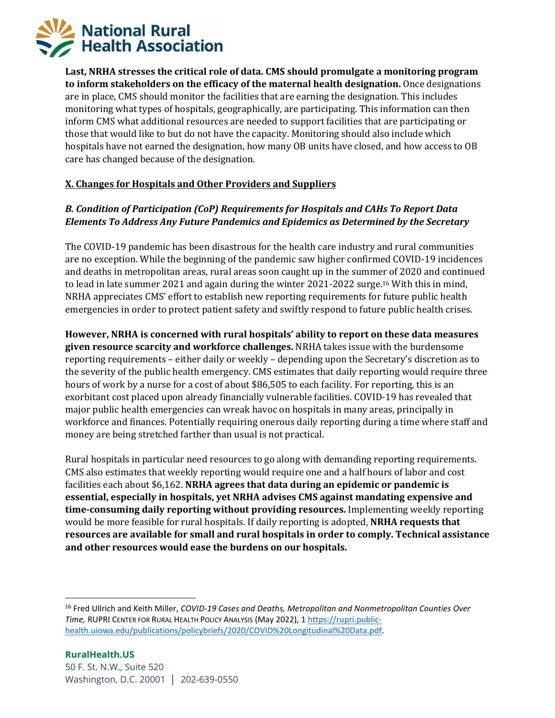

**Last, NRHA stresses the critical role of data. CMS should promulgate a monitoring program to inform stakeholders on the efficacy of the maternal health designation.** Once designations are in place, CMS should monitor the facilities that are earning the designation. This includes monitoring what types of hospitals, geographically, are participating. This information can then inform CMS what additional resources are needed to support facilities that are participating or those that would like to but do not have the capacity. Monitoring should also include which hospitals have not earned the designation, how many OB units have closed, and how access to OB care has changed because of the designation.

#### **X. Changes for Hospitals and Other Providers and Suppliers**

## *B. Condition of Participation (CoP) Requirements for Hospitals and CAHs To Report Data Elements To Address Any Future Pandemics and Epidemics as Determined by the Secretary*

The COVID-19 pandemic has been disastrous for the health care industry and rural communities are no exception. While the beginning of the pandemic saw higher confirmed COVID-19 incidences and deaths in metropolitan areas, rural areas soon caught up in the summer of 2020 and continued to lead in late summer 2021 and again during the winter 2021-2022 surge.<sup>16</sup> With this in mind, NRHA appreciates CMS' effort to establish new reporting requirements for future public health emergencies in order to protect patient safety and swiftly respond to future public health crises.

**However, NRHA is concerned with rural hospitals' ability to report on these data measures given resource scarcity and workforce challenges.** NRHA takes issue with the burdensome reporting requirements – either daily or weekly – depending upon the Secretary's discretion as to the severity of the public health emergency. CMS estimates that daily reporting would require three hours of work by a nurse for a cost of about \$86,505 to each facility. For reporting, this is an exorbitant cost placed upon already financially vulnerable facilities. COVID-19 has revealed that major public health emergencies can wreak havoc on hospitals in many areas, principally in workforce and finances. Potentially requiring onerous daily reporting during a time where staff and money are being stretched farther than usual is not practical.

Rural hospitals in particular need resources to go along with demanding reporting requirements. CMS also estimates that weekly reporting would require one and a half hours of labor and cost facilities each about \$6,162. **NRHA agrees that data during an epidemic or pandemic is essential, especially in hospitals, yet NRHA advises CMS against mandating expensive and time-consuming daily reporting without providing resources.** Implementing weekly reporting would be more feasible for rural hospitals. If daily reporting is adopted, **NRHA requests that resources are available for small and rural hospitals in order to comply. Technical assistance and other resources would ease the burdens on our hospitals.**

<sup>16</sup> Fred Ullrich and Keith Miller, *COVID-19 Cases and Deaths, Metropolitan and Nonmetropolitan Counties Over Time,* RUPRI CENTER FOR RURAL HEALTH POLICY ANALYSIS (May 2022), [1 https://rupri.public](https://rupri.public-health.uiowa.edu/publications/policybriefs/2020/COVID%20Longitudinal%20Data.pdf)[health.uiowa.edu/publications/policybriefs/2020/COVID%20Longitudinal%20Data.pdf.](https://rupri.public-health.uiowa.edu/publications/policybriefs/2020/COVID%20Longitudinal%20Data.pdf)